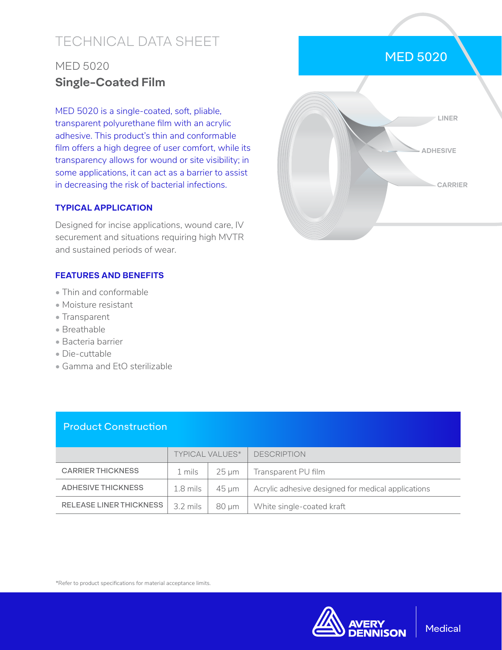# TECHNICAL DATA SHEET

## MED 5020 **Single-Coated Film**

MED 5020 is a single-coated, soft, pliable, transparent polyurethane film with an acrylic adhesive. This product's thin and conformable film offers a high degree of user comfort, while its transparency allows for wound or site visibility; in some applications, it can act as a barrier to assist in decreasing the risk of bacterial infections.

### **TYPICAL APPLICATION**

Designed for incise applications, wound care, IV securement and situations requiring high MVTR and sustained periods of wear.

### **FEATURES AND BENEFITS**

- Thin and conformable
- Moisture resistant
- Transparent
- Breathable
- Bacteria barrier
- Die-cuttable
- Gamma and EtO sterilizable

### Product Construction

|                                | <b>TYPICAL VALUES*</b> |       | <b>DESCRIPTION</b>                                 |
|--------------------------------|------------------------|-------|----------------------------------------------------|
| <b>CARRIER THICKNESS</b>       | 1 mils                 | 25 um | Transparent PU film                                |
| ADHESIVE THICKNESS             | 1.8 mils               | 45 um | Acrylic adhesive designed for medical applications |
| <b>RELEASE LINER THICKNESS</b> | $3.2 \text{ miles}$    | 80 um | White single-coated kraft                          |

\*Refer to product specifications for material acceptance limits.



### MED 5020



**Medical**